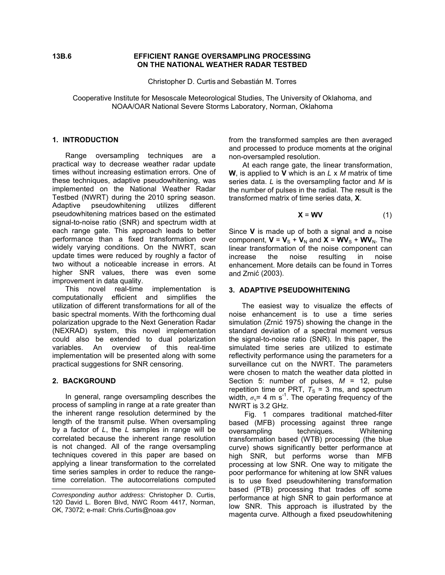## **13B.6 EFFICIENT RANGE OVERSAMPLING PROCESSING ON THE NATIONAL WEATHER RADAR TESTBED**

Christopher D. Curtis and Sebastián M. Torres

Cooperative Institute for Mesoscale Meteorological Studies, The University of Oklahoma, and NOAA/OAR National Severe Storms Laboratory, Norman, Oklahoma

#### **1. INTRODUCTION**

Range oversampling techniques are a practical way to decrease weather radar update times without increasing estimation errors. One of these techniques, adaptive pseudowhitening, was implemented on the National Weather Radar Testbed (NWRT) during the 2010 spring season. Adaptive pseudowhitening utilizes different pseudowhitening matrices based on the estimated signal-to-noise ratio (SNR) and spectrum width at each range gate. This approach leads to better performance than a fixed transformation over widely varying conditions. On the NWRT, scan update times were reduced by roughly a factor of two without a noticeable increase in errors. At higher SNR values, there was even some improvement in data quality.

This novel real-time implementation is computationally efficient and simplifies the utilization of different transformations for all of the basic spectral moments. With the forthcoming dual polarization upgrade to the Next Generation Radar (NEXRAD) system, this novel implementation could also be extended to dual polarization variables. An overview of this real-time implementation will be presented along with some practical suggestions for SNR censoring.

## **2. BACKGROUND**

In general, range oversampling describes the process of sampling in range at a rate greater than the inherent range resolution determined by the length of the transmit pulse. When oversampling by a factor of *L*, the *L* samples in range will be correlated because the inherent range resolution is not changed. All of the range oversampling techniques covered in this paper are based on applying a linear transformation to the correlated time series samples in order to reduce the rangetime correlation. The autocorrelations computed from the transformed samples are then averaged and processed to produce moments at the original non-oversampled resolution.

At each range gate, the linear transformation, **W**, is applied to **V** which is an *L* x *M* matrix of time series data. *L* is the oversampling factor and *M* is the number of pulses in the radial. The result is the transformed matrix of time series data, **X**.

$$
X = WV
$$
 (1)

Since **V** is made up of both a signal and a noise component,  $V = V<sub>S</sub> + V<sub>N</sub>$  and  $X = WV<sub>S</sub> + WV<sub>N</sub>$ . The linear transformation of the noise component can increase the noise resulting in noise enhancement. More details can be found in Torres and Zrnić (2003).

#### **3. ADAPTIVE PSEUDOWHITENING**

The easiest way to visualize the effects of noise enhancement is to use a time series simulation (Zrnić 1975) showing the change in the standard deviation of a spectral moment versus the signal-to-noise ratio (SNR). In this paper, the simulated time series are utilized to estimate reflectivity performance using the parameters for a surveillance cut on the NWRT. The parameters were chosen to match the weather data plotted in Section 5: number of pulses,  $M = 12$ , pulse repetition time or PRT,  $T<sub>S</sub> = 3$  ms, and spectrum width,  $\sigma_{\rm v}$ = 4 m s<sup>-1</sup>. The operating frequency of the NWRT is 3.2 GHz.

Fig. 1 compares traditional matched-filter based (MFB) processing against three range oversampling techniques. Whitening transformation based (WTB) processing (the blue curve) shows significantly better performance at high SNR, but performs worse than MFB processing at low SNR. One way to mitigate the poor performance for whitening at low SNR values is to use fixed pseudowhitening transformation based (PTB) processing that trades off some performance at high SNR to gain performance at low SNR. This approach is illustrated by the magenta curve. Although a fixed pseudowhitening

*Corresponding author address:* Christopher D. Curtis, 120 David L. Boren Blvd, NWC Room 4417, Norman, OK, 73072; e-mail: Chris.Curtis@noaa.gov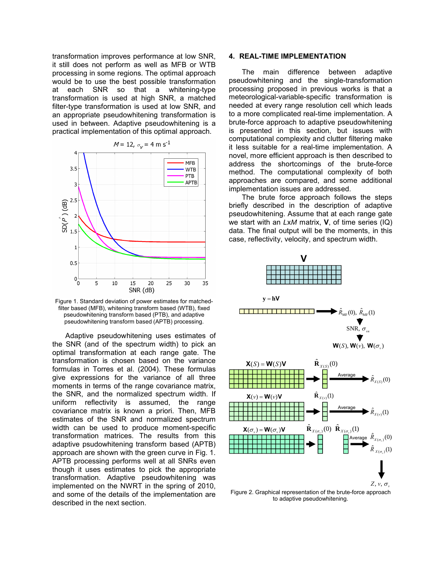transformation improves performance at low SNR, it still does not perform as well as MFB or WTB processing in some regions. The optimal approach would be to use the best possible transformation at each SNR so that a whitening-type transformation is used at high SNR, a matched filter-type transformation is used at low SNR, and an appropriate pseudowhitening transformation is used in between. Adaptive pseudowhitening is a practical implementation of this optimal approach.



Figure 1. Standard deviation of power estimates for matchedfilter based (MFB), whitening transform based (WTB), fixed pseudowhitening transform based (PTB), and adaptive pseudowhitening transform based (APTB) processing.

Adaptive pseudowhitening uses estimates of the SNR (and of the spectrum width) to pick an optimal transformation at each range gate. The transformation is chosen based on the variance formulas in Torres et al. (2004). These formulas give expressions for the variance of all three moments in terms of the range covariance matrix, the SNR, and the normalized spectrum width. If uniform reflectivity is assumed, the range covariance matrix is known a priori. Then, MFB estimates of the SNR and normalized spectrum width can be used to produce moment-specific transformation matrices. The results from this adaptive psudowhitening transform based (APTB) approach are shown with the green curve in Fig. 1. APTB processing performs well at all SNRs even though it uses estimates to pick the appropriate transformation. Adaptive pseudowhitening was implemented on the NWRT in the spring of 2010, and some of the details of the implementation are described in the next section.

## **4. REAL-TIME IMPLEMENTATION**

The main difference between adaptive pseudowhitening and the single-transformation processing proposed in previous works is that a meteorological-variable-specific transformation is needed at every range resolution cell which leads to a more complicated real-time implementation. A brute-force approach to adaptive pseudowhitening is presented in this section, but issues with computational complexity and clutter filtering make it less suitable for a real-time implementation. A novel, more efficient approach is then described to address the shortcomings of the brute-force method. The computational complexity of both approaches are compared, and some additional implementation issues are addressed.

The brute force approach follows the steps briefly described in the description of adaptive pseudowhitening. Assume that at each range gate we start with an *L*x*M* matrix, **V**, of time series (IQ) data. The final output will be the moments, in this case, reflectivity, velocity, and spectrum width.



to adaptive pseudowhitening.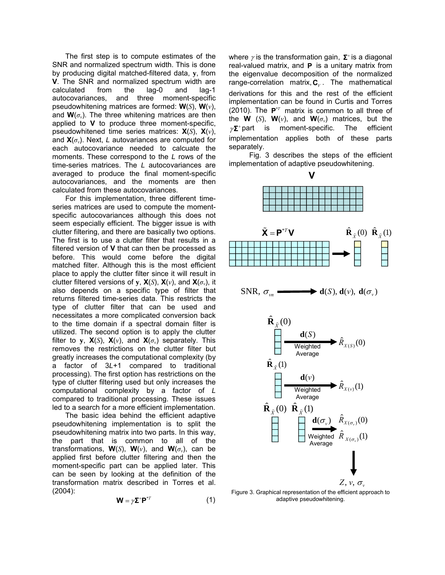The first step is to compute estimates of the SNR and normalized spectrum width. This is done by producing digital matched-filtered data, **y**, from **V**. The SNR and normalized spectrum width are calculated from the lag-0 and lag-1 autocovariances, and three moment-specific pseudowhitening matrices are formed: **W**(*S*), **W**(*v*), and  $\mathbf{W}(\sigma_{v})$ . The three whitening matrices are then applied to **V** to produce three moment-specific, pseudowhitened time series matrices: **X**(*S*), **X**(*v*), and **X**(*σv*). Next, *L* autovariances are computed for each autocovariance needed to calcuate the moments. These correspond to the *L* rows of the time-series matrices. The *L* autocovariances are averaged to produce the final moment-specific autocovariances, and the moments are then calculated from these autocovariances.

For this implementation, three different timeseries matrices are used to compute the momentspecific autocovariances although this does not seem especially efficient. The bigger issue is with clutter filtering, and there are basically two options. The first is to use a clutter filter that results in a filtered version of **V** that can then be processed as before. This would come before the digital matched filter. Although this is the most efficient place to apply the clutter filter since it will result in clutter filtered versions of **y**,  $\mathbf{X}(S)$ ,  $\mathbf{X}(v)$ , and  $\mathbf{X}(\sigma_v)$ , it also depends on a specific type of filter that returns filtered time-series data. This restricts the type of clutter filter that can be used and necessitates a more complicated conversion back to the time domain if a spectral domain filter is utilized. The second option is to apply the clutter filter to y,  $\mathbf{X}(S)$ ,  $\mathbf{X}(v)$ , and  $\mathbf{X}(\sigma_v)$  separately. This removes the restrictions on the clutter filter but greatly increases the computational complexity (by a factor of 3*L*+1 compared to traditional processing). The first option has restrictions on the type of clutter filtering used but only increases the computational complexity by a factor of *L* compared to traditional processing. These issues led to a search for a more efficient implementation.

The basic idea behind the efficient adaptive pseudowhitening implementation is to split the pseudowhitening matrix into two parts. In this way, the part that is common to all of the transformations,  $W(S)$ ,  $W(v)$ , and  $W(\sigma_v)$ , can be applied first before clutter filtering and then the moment-specific part can be applied later. This can be seen by looking at the definition of the transformation matrix described in Torres et al. (2004):

$$
\mathbf{W} = \gamma \mathbf{\Sigma}^* \mathbf{P}^{*T} \tag{1}
$$

where  $\gamma$  is the transformation gain,  $\Sigma^+$  is a diagonal real-valued matrix, and **P** is a unitary matrix from the eigenvalue decomposition of the normalized range-correlation matrix,  $C_v$ . The mathematical derivations for this and the rest of the efficient implementation can be found in Curtis and Torres (2010). The  $P^{\dagger T}$  matrix is common to all three of the **W** (*S*), **W**(*v*), and **W**( $\sigma$ <sup>*v*</sup>) matrices, but the  $\gamma\Sigma^+$  part is moment-specific. The efficient implementation applies both of these parts separately.

Fig. 3 describes the steps of the efficient implementation of adaptive pseudowhitening.



Figure 3. Graphical representation of the efficient approach to adaptive pseudowhitening.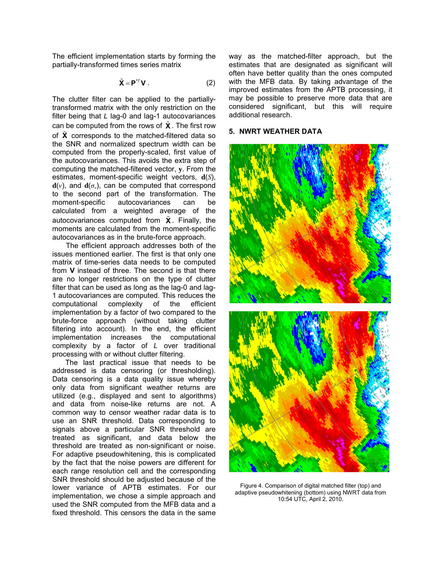The efficient implementation starts by forming the partially-transformed times series matrix

$$
\tilde{\mathbf{X}} = \mathbf{P}^{*T} \mathbf{V} . \tag{2}
$$

The clutter filter can be applied to the partiallytransformed matrix with the only restriction on the filter being that *L* lag-0 and lag-1 autocovariances can be computed from the rows of **X** . The first row of **X** corresponds to the matched-filtered data so the SNR and normalized spectrum width can be computed from the properly-scaled, first value of the autocovariances. This avoids the extra step of computing the matched-filtered vector, **y**. From the estimates, moment-specific weight vectors, **d**(*S*),  $\mathbf{d}(v)$ , and  $\mathbf{d}(\sigma_v)$ , can be computed that correspond to the second part of the transformation. The moment-specific autocovariances can be calculated from a weighted average of the autocovariances computed from  $\tilde{\mathbf{X}}$ . Finally, the moments are calculated from the moment-specific autocovariances as in the brute-force approach.

The efficient approach addresses both of the issues mentioned earlier. The first is that only one matrix of time-series data needs to be computed from **V** instead of three. The second is that there are no longer restrictions on the type of clutter filter that can be used as long as the lag-0 and lag-1 autocovariances are computed. This reduces the computational complexity of the efficient implementation by a factor of two compared to the brute-force approach (without taking clutter filtering into account). In the end, the efficient implementation increases the computational complexity by a factor of *L* over traditional processing with or without clutter filtering.

The last practical issue that needs to be addressed is data censoring (or thresholding). Data censoring is a data quality issue whereby only data from significant weather returns are utilized (e.g., displayed and sent to algorithms) and data from noise-like returns are not. A common way to censor weather radar data is to use an SNR threshold. Data corresponding to signals above a particular SNR threshold are treated as significant, and data below the threshold are treated as non-significant or noise. For adaptive pseudowhitening, this is complicated by the fact that the noise powers are different for each range resolution cell and the corresponding SNR threshold should be adjusted because of the lower variance of APTB estimates. For our implementation, we chose a simple approach and used the SNR computed from the MFB data and a fixed threshold. This censors the data in the same

way as the matched-filter approach, but the estimates that are designated as significant will often have better quality than the ones computed with the MFB data. By taking advantage of the improved estimates from the APTB processing, it may be possible to preserve more data that are considered significant, but this will require additional research.

# **5. NWRT WEATHER DATA**



Figure 4. Comparison of digital matched filter (top) and adaptive pseudowhitening (bottom) using NWRT data from 10:54 UTC, April 2, 2010.